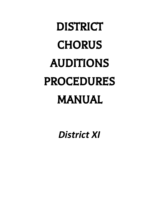# DISTRICT **CHORUS** AUDITIONS PROCEDURES MANUAL

*District XI*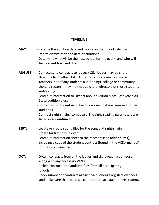# **TIMELINE**

- **MAY:** -Reserve the audition date and rooms on the school calendar. -Inform district as to the date of auditions.
	- -Determine who will be the host school for the event, and who will be its event host and chair.
- **AUGUST:** -Contact/send contracts to judges (12). Judges may be choral directors from other districts, retired choral directors, voice teachers (not of any students auditioning), college or community choral directors - they may not be choral directors of those students auditioning.
	- -Send out information to District about audition piece (last year's All-State audition piece).
	- -Confirm with Student Activities the rooms that are reserved for the auditions.
	- -Contract sight-singing composer. The sight-reading parameters are listed in **addendum II**.
- **SEPT:** -Locate or create sound files for the song and sight-singing. -Create budget for the event. -Send out information sheet to the teachers (see **addendum I**), including a copy of the student contract (found in the VCDA manual) for their convenience.
- **OCT:** -Obtain contracts from all the judges and sight-reading composer along with any necessary W-9's. -Collect contracts and audition fees from all participating schools. -Check number of contracts against each school's registration sheet and make sure that there is a contract for each auditioning student,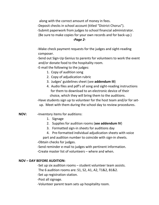along with the correct amount of money in fees.

-Deposit checks in school account (titled "District Chorus").

-Submit paperwork from judges to school financial administrator.

(Be sure to make copies for your own records and for back-up.)

# *-Page 2-*

-Make check payment requests for the judges and sight-reading composer.

-Send out Sign-Up Genius to parents for volunteers to work the event and/or donate food to the hospitality room.

-E-mail the following to the judges:

- 1. Copy of audition song
- 2. Copy of adjudication rubric
- 3. Judges' guidelines sheet (see **addendum III**)
- 4. Audio files and pdf's of song and sight-reading instructions for them to download to an electronic device of their choice, which they will bring them to the auditions.

-Have students sign up to volunteer for the host team and/or for setup. Meet with them during the school day to review procedures.

- **NOV: -**Inventory items for auditions:
	- 1. Signage
	- 2. Supplies for audition rooms (**see addendum IV**)
	- 3. Formatted sign-in sheets for auditions day
	- 4. Pre-formatted individual adjudication sheets with voice

part and audition number to coincide with sign-in sheets.

-Obtain checks for judges.

-Send reminder e-mail to judges with pertinent information.

-Create master list of volunteers – where and when.

# **NOV – DAY BEFORE AUDITION:**

-Set up six audition rooms – student volunteer team assists.

The 6 audition rooms are: S1, S2, A1, A2, T1&2, B1&2.

-Set up registration station.

-Post all signage.

-Volunteer parent team sets up hospitality room.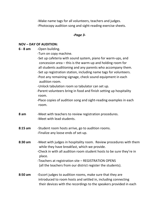-Make name tags for all volunteers, teachers and judges. -Photocopy audition song and sight-reading exercise sheets.

## *-Page 3-*

## **NOV – DAY OF AUDITION:**

**6 - 8 am** -Open building. -Turn on copy machine. -Set up cafeteria with sound system, piano for warm-ups, and concession area – this is the warm-up and holding room for all students auditioning and any parents who accompany them. -Set up registration station, including name tags for volunteers. -Post any remaining signage, check sound equipment in each audition room. -Unlock tabulation room so tabulator can set up. -Parent volunteers bring in food and finish setting up hospitality room. -Place copies of audition song and sight-reading examples in each room. **8 am** -Meet with teachers to review registration procedures. -Meet with lead students. **8:15 am** -Student room hosts arrive, go to audition rooms. -Finalize any loose ends of set-up. **8:30 am** -Meet with judges in hospitality room. Review procedures with them while they have breakfast, which we provide. -Check in with all audition room student hosts to be sure they're in place. -Teachers at registration site – REGISTRATION OPENS (all the teachers from our district register the students). **8:50 am** -Escort judges to audition rooms, make sure that they are introduced to room hosts and settled in, including connecting their devices with the recordings to the speakers provided in each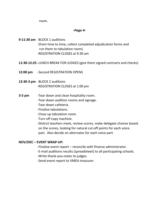room.

## *-Page 4-*

**9-11:30 am** -BLOCK 1 auditions (from time to time, collect completed adjudication forms and run them to tabulation room) -REGISTRATION CLOSES at 9:30 am

- **11:30-12:25 -**LUNCH BREAK FOR JUDGES (give them signed contracts and checks)
- **12:00 pm** -Second REGISTRATION OPENS
- **12:30-3 pm** -BLOCK 2 auditions -REGISTRATION CLOSES at 1:00 pm
- **3-5 pm** Tear down and clean hospitality room.
	- -Tear down audition rooms and signage.
	- -Tear down cafeteria.
	- -Finalize tabulations.
	- -Close up tabulation room.
	- -Turn off copy machine.

-District teachers meet, review scores, make delegate choices based. on the scores, looking for natural cut-off points for each voice. part. Also decide on alternates for each voice part.

# **NOV/DEC – EVENT WRAP-UP:**

- -Finalize event report reconcile with finance administrator.
- -E-mail auditions results (spreadsheet) to all participating schools.
- -Write thank-you-notes to judges.
- -Send event report to VMEA treasurer.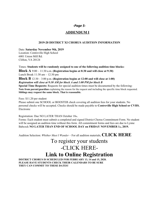## *-Page 5-*

## **ADDENDUM I**

#### **2019-20 DISTRICT XI CHORUS AUDITION INFORMATION**

Date: **Saturday November 9th, 2019** Location: Centreville High School 6001 Union Mill Rd. Clifton, VA 20124

Times: **Students will be randomly assigned to one of the following audition time blocks:**

**Block A** 9:00 – 11:30 a.m. **(Registration begins at 8:30 and will close at 9:30)** Lunch Break 11:30 am – 12:30 pm

**Block B** 12:30 – 3:00 p.m. **(Registration begins at 12:00 and will close at 1:00)** *Registration will close at 9:30 AM for block A and 1:00 PM for block B*

**Special Time Requests:** Requests for special audition times must be documented by the following: **Note from parent/guardian** explaining the reason for the request and including the specific time block requested. **Siblings may request the same block. That is reasonable.**

Fees: \$11.20 per student

Please submit one SCHOOL or BOOSTER check covering all audition fees for your students. No personal checks will be accepted. Checks should be made payable to **Centreville High School or CVHS.** Electronic

Registration: Due NO LATER THAN October 18th.

Forms: Each student must submit a completed and signed District Chorus Commitment Form. No student will be assigned an audition time without this form. All commitment forms and fees are due to Lynne Babcock **NO LATER THAN END OF SCHOOL DAY on FRIDAY NOVEMBER 1st, 2019.**

Audition Selection: *Whither Must <sup>I</sup> Wander* – For all audition materials, **CLICK HERE**

# To register your students -CLICK HERE-**Link to Online Registration**

**DISTRICT CHORUS IS SCHEDULED FOR FEBRUARY 13, 14 and 15, 2020. PLEASE HAVE STUDENTS CHECK THEIR CALENDARS TO BE SURE THEY CAN COMMIT TO THESE DATES!**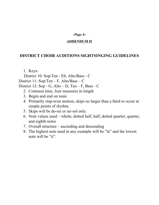# *-Page 6-*

# **ADDENDUM II**

# **DISTRICT CHOIR AUDITIONS SIGHTSINGING GUIDELINES**

1. Keys:

District 10: Sop/Ten - Eb, Alto/Bass - C District 11: Sop/Ten – F, Alto/Bass – C District 12: Sop - G, Alto – D, Ten – F, Bass - C

- 2. Common time, four measures in length
- 3. Begin and end on tonic
- 4. Primarily step-wise motion, skips no larger than a third to occur at simple points of rhythm.
- 5. Skips will be do-mi or mi-sol only.
- 6. Note values used whole, dotted half, half, dotted quarter, quarter, and eighth notes
- 7. Overall structure ascending and descending
- 8. The highest note used in any example will be "la" and the lowest note will be "ti".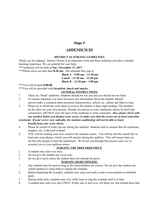## *-Page 7-*

## **ADDENDUM III**

## **DISTRICT XI JUDGING GUIDELINES**

Thank you for judging! District Chorus Is an important event and these auditions provide a valuable learning experience. We are grateful for your help.

\*\*\*Auditions will be held on **Sat., November 11, 2017**

\*\*\*Please arrive no later than **8:20 am**. The schedule this year is:

**Block A – 9:00 am – 11:30 am Lunch – 11:30 am – 12:30 pm Block B – 12:30 pm – 3:00 pm**

\*\*\*You will be paid **\$180.00**.

\*\*\*You will be provided with **breakfast, lunch and snacks**.

## **GENERAL INSTRUCTIONS**

- 1. These are "blind" auditions. Students should not see you and you should not see them.
- 2. To remain impartial, you must not know any information about the student. Should anyone make a comment about personal characteristics, school, etc., please ask them to stop.
- 3. Please try to finish the score sheet as soon as the student is done sight-reading. The numbers on the sheet are your first priority. Should you choose to write comments, please be brief and constructive. DO NOT slow the pace of the auditions to write comments. *Also, please check with one another before you finalize your scores, to make sure that the scores are at least somewhat*

## *consistent. If your scores vary radically, the students auditioning will not be able to learn benefit from your score sheets.*

- 4. Please be careful of what you say during the audition. Students tend to assume that all comments, laughter, etc. is directed at them!
- 5. YOU will be running your own sound in the audition rooms. You will be sent the sound files to load onto your phones, which you will operate during the audition. This will ensure that you are the only people to hear the auditioners. We'll run you through this process once we've escorted you to your audition rooms.

## **JUDGING THE PREPARED PIECE**

- 1. A student may start over once.
- 2. Do not give the student any vocal cues.
- 3. Do not give zeros unless the student does not attempt the piece.

## **JUDGING SIGHT-SINGING**

- 1. Any method may be used as long as the notes/rhythms are correct. Do not give the student any verbal (spoken or sung) help in singing the example.
- 2. Before beginning the example, students may sing (out loud) a scale or note pattern to establish pitch.
- 3. During study-time, students may very softly hum or sing the example until it is time.
- 4. A student may start over only ONCE. If they ask to start over, tell them yes, but remind them that